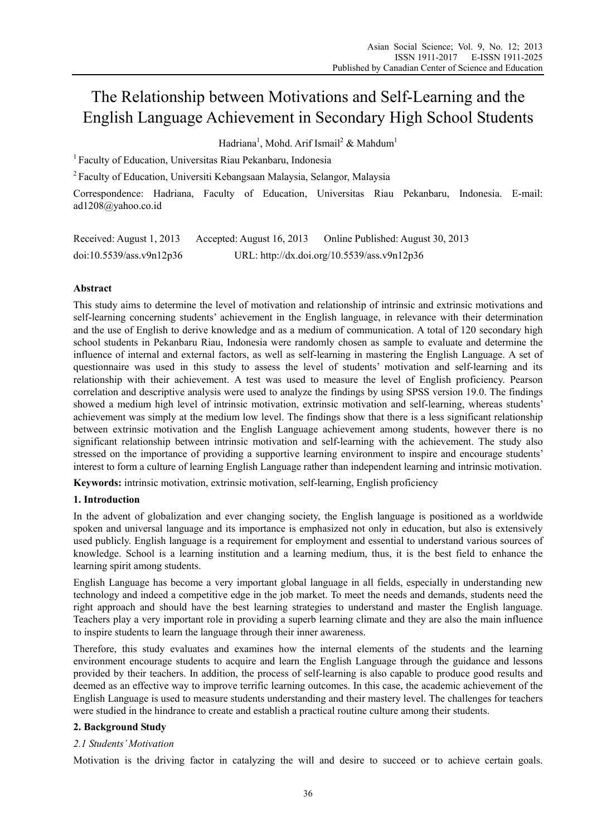# The Relationship between Motivations and Self-Learning and the English Language Achievement in Secondary High School Students

Hadriana<sup>1</sup>, Mohd. Arif Ismail<sup>2</sup> & Mahdum<sup>1</sup>

1 Faculty of Education, Universitas Riau Pekanbaru, Indonesia

2 Faculty of Education, Universiti Kebangsaan Malaysia, Selangor, Malaysia

Correspondence: Hadriana, Faculty of Education, Universitas Riau Pekanbaru, Indonesia. E-mail: ad1208@yahoo.co.id

| Received: August 1, 2013 | Accepted: August 16, 2013 | Online Published: August 30, 2013           |
|--------------------------|---------------------------|---------------------------------------------|
| doi:10.5539/ass.v9n12p36 |                           | URL: http://dx.doi.org/10.5539/ass.v9n12p36 |

# **Abstract**

This study aims to determine the level of motivation and relationship of intrinsic and extrinsic motivations and self-learning concerning students' achievement in the English language, in relevance with their determination and the use of English to derive knowledge and as a medium of communication. A total of 120 secondary high school students in Pekanbaru Riau, Indonesia were randomly chosen as sample to evaluate and determine the influence of internal and external factors, as well as self-learning in mastering the English Language. A set of questionnaire was used in this study to assess the level of students' motivation and self-learning and its relationship with their achievement. A test was used to measure the level of English proficiency. Pearson correlation and descriptive analysis were used to analyze the findings by using SPSS version 19.0. The findings showed a medium high level of intrinsic motivation, extrinsic motivation and self-learning, whereas students' achievement was simply at the medium low level. The findings show that there is a less significant relationship between extrinsic motivation and the English Language achievement among students, however there is no significant relationship between intrinsic motivation and self-learning with the achievement. The study also stressed on the importance of providing a supportive learning environment to inspire and encourage students' interest to form a culture of learning English Language rather than independent learning and intrinsic motivation.

**Keywords:** intrinsic motivation, extrinsic motivation, self-learning, English proficiency

# **1. Introduction**

In the advent of globalization and ever changing society, the English language is positioned as a worldwide spoken and universal language and its importance is emphasized not only in education, but also is extensively used publicly. English language is a requirement for employment and essential to understand various sources of knowledge. School is a learning institution and a learning medium, thus, it is the best field to enhance the learning spirit among students.

English Language has become a very important global language in all fields, especially in understanding new technology and indeed a competitive edge in the job market. To meet the needs and demands, students need the right approach and should have the best learning strategies to understand and master the English language. Teachers play a very important role in providing a superb learning climate and they are also the main influence to inspire students to learn the language through their inner awareness.

Therefore, this study evaluates and examines how the internal elements of the students and the learning environment encourage students to acquire and learn the English Language through the guidance and lessons provided by their teachers. In addition, the process of self-learning is also capable to produce good results and deemed as an effective way to improve terrific learning outcomes. In this case, the academic achievement of the English Language is used to measure students understanding and their mastery level. The challenges for teachers were studied in the hindrance to create and establish a practical routine culture among their students.

## **2. Background Study**

## *2.1 Students' Motivation*

Motivation is the driving factor in catalyzing the will and desire to succeed or to achieve certain goals.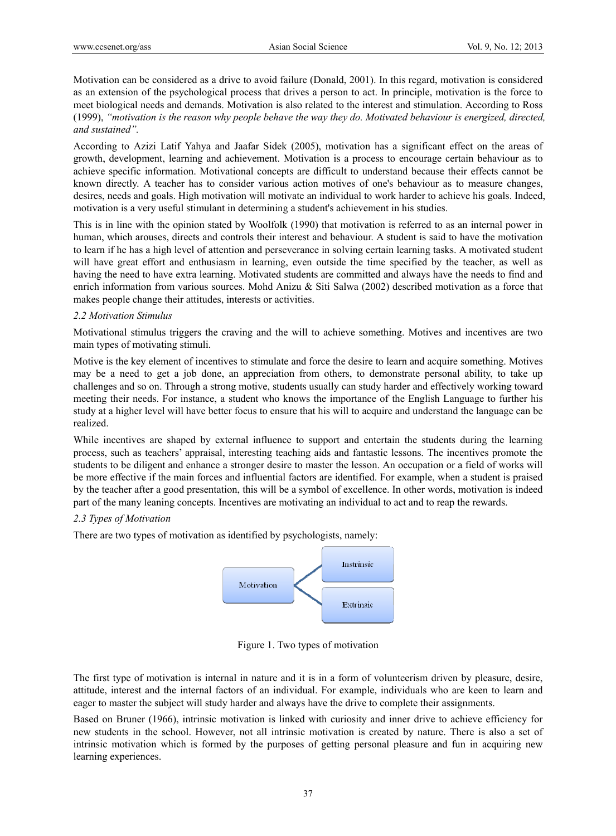Motivation can be considered as a drive to avoid failure (Donald, 2001). In this regard, motivation is considered as an extension of the psychological process that drives a person to act. In principle, motivation is the force to meet biological needs and demands. Motivation is also related to the interest and stimulation. According to Ross (1999), *"motivation is the reason why people behave the way they do. Motivated behaviour is energized, directed, and sustained".* 

According to Azizi Latif Yahya and Jaafar Sidek (2005), motivation has a significant effect on the areas of growth, development, learning and achievement. Motivation is a process to encourage certain behaviour as to achieve specific information. Motivational concepts are difficult to understand because their effects cannot be known directly. A teacher has to consider various action motives of one's behaviour as to measure changes, desires, needs and goals. High motivation will motivate an individual to work harder to achieve his goals. Indeed, motivation is a very useful stimulant in determining a student's achievement in his studies.

This is in line with the opinion stated by Woolfolk (1990) that motivation is referred to as an internal power in human, which arouses, directs and controls their interest and behaviour. A student is said to have the motivation to learn if he has a high level of attention and perseverance in solving certain learning tasks. A motivated student will have great effort and enthusiasm in learning, even outside the time specified by the teacher, as well as having the need to have extra learning. Motivated students are committed and always have the needs to find and enrich information from various sources. Mohd Anizu & Siti Salwa (2002) described motivation as a force that makes people change their attitudes, interests or activities.

## *2.2 Motivation Stimulus*

Motivational stimulus triggers the craving and the will to achieve something. Motives and incentives are two main types of motivating stimuli.

Motive is the key element of incentives to stimulate and force the desire to learn and acquire something. Motives may be a need to get a job done, an appreciation from others, to demonstrate personal ability, to take up challenges and so on. Through a strong motive, students usually can study harder and effectively working toward meeting their needs. For instance, a student who knows the importance of the English Language to further his study at a higher level will have better focus to ensure that his will to acquire and understand the language can be realized.

While incentives are shaped by external influence to support and entertain the students during the learning process, such as teachers' appraisal, interesting teaching aids and fantastic lessons. The incentives promote the students to be diligent and enhance a stronger desire to master the lesson. An occupation or a field of works will be more effective if the main forces and influential factors are identified. For example, when a student is praised by the teacher after a good presentation, this will be a symbol of excellence. In other words, motivation is indeed part of the many leaning concepts. Incentives are motivating an individual to act and to reap the rewards.

## *2.3 Types of Motivation*

There are two types of motivation as identified by psychologists, namely:



Figure 1. Two types of motivation

The first type of motivation is internal in nature and it is in a form of volunteerism driven by pleasure, desire, attitude, interest and the internal factors of an individual. For example, individuals who are keen to learn and eager to master the subject will study harder and always have the drive to complete their assignments.

Based on Bruner (1966), intrinsic motivation is linked with curiosity and inner drive to achieve efficiency for new students in the school. However, not all intrinsic motivation is created by nature. There is also a set of intrinsic motivation which is formed by the purposes of getting personal pleasure and fun in acquiring new learning experiences.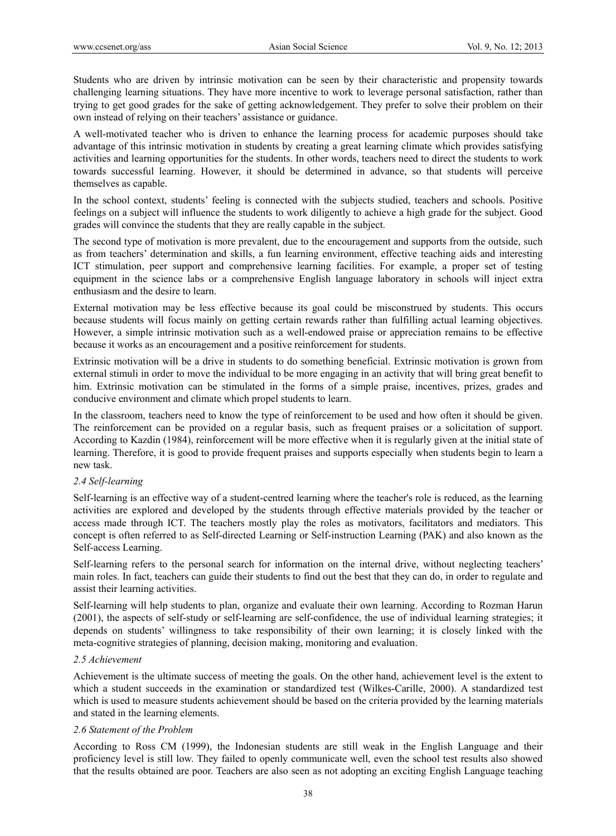Students who are driven by intrinsic motivation can be seen by their characteristic and propensity towards challenging learning situations. They have more incentive to work to leverage personal satisfaction, rather than trying to get good grades for the sake of getting acknowledgement. They prefer to solve their problem on their own instead of relying on their teachers' assistance or guidance.

A well-motivated teacher who is driven to enhance the learning process for academic purposes should take advantage of this intrinsic motivation in students by creating a great learning climate which provides satisfying activities and learning opportunities for the students. In other words, teachers need to direct the students to work towards successful learning. However, it should be determined in advance, so that students will perceive themselves as capable.

In the school context, students' feeling is connected with the subjects studied, teachers and schools. Positive feelings on a subject will influence the students to work diligently to achieve a high grade for the subject. Good grades will convince the students that they are really capable in the subject.

The second type of motivation is more prevalent, due to the encouragement and supports from the outside, such as from teachers' determination and skills, a fun learning environment, effective teaching aids and interesting ICT stimulation, peer support and comprehensive learning facilities. For example, a proper set of testing equipment in the science labs or a comprehensive English language laboratory in schools will inject extra enthusiasm and the desire to learn.

External motivation may be less effective because its goal could be misconstrued by students. This occurs because students will focus mainly on getting certain rewards rather than fulfilling actual learning objectives. However, a simple intrinsic motivation such as a well-endowed praise or appreciation remains to be effective because it works as an encouragement and a positive reinforcement for students.

Extrinsic motivation will be a drive in students to do something beneficial. Extrinsic motivation is grown from external stimuli in order to move the individual to be more engaging in an activity that will bring great benefit to him. Extrinsic motivation can be stimulated in the forms of a simple praise, incentives, prizes, grades and conducive environment and climate which propel students to learn.

In the classroom, teachers need to know the type of reinforcement to be used and how often it should be given. The reinforcement can be provided on a regular basis, such as frequent praises or a solicitation of support. According to Kazdin (1984), reinforcement will be more effective when it is regularly given at the initial state of learning. Therefore, it is good to provide frequent praises and supports especially when students begin to learn a new task.

# *2.4 Self-learning*

Self-learning is an effective way of a student-centred learning where the teacher's role is reduced, as the learning activities are explored and developed by the students through effective materials provided by the teacher or access made through ICT. The teachers mostly play the roles as motivators, facilitators and mediators. This concept is often referred to as Self-directed Learning or Self-instruction Learning (PAK) and also known as the Self-access Learning.

Self-learning refers to the personal search for information on the internal drive, without neglecting teachers' main roles. In fact, teachers can guide their students to find out the best that they can do, in order to regulate and assist their learning activities.

Self-learning will help students to plan, organize and evaluate their own learning. According to Rozman Harun (2001), the aspects of self-study or self-learning are self-confidence, the use of individual learning strategies; it depends on students' willingness to take responsibility of their own learning; it is closely linked with the meta-cognitive strategies of planning, decision making, monitoring and evaluation.

## *2.5 Achievement*

Achievement is the ultimate success of meeting the goals. On the other hand, achievement level is the extent to which a student succeeds in the examination or standardized test (Wilkes-Carille, 2000). A standardized test which is used to measure students achievement should be based on the criteria provided by the learning materials and stated in the learning elements.

## *2.6 Statement of the Problem*

According to Ross CM (1999), the Indonesian students are still weak in the English Language and their proficiency level is still low. They failed to openly communicate well, even the school test results also showed that the results obtained are poor. Teachers are also seen as not adopting an exciting English Language teaching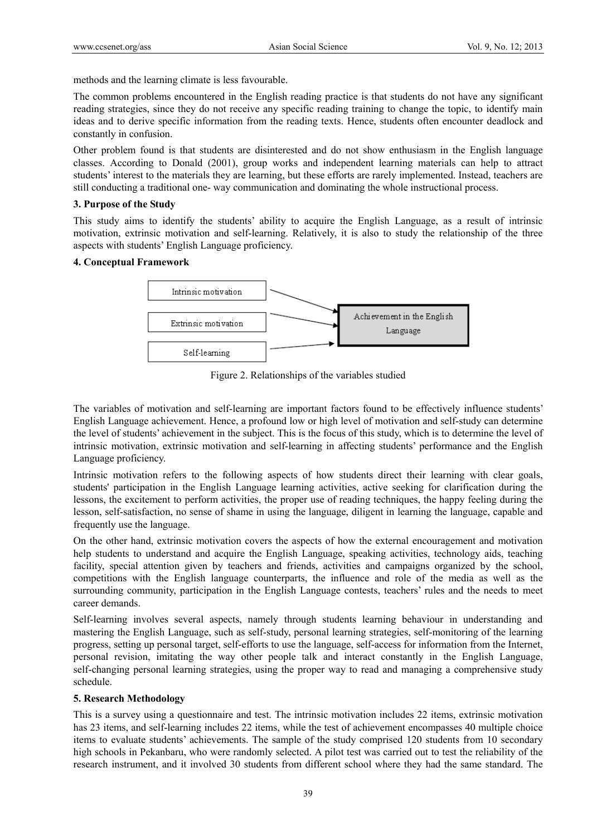methods and the learning climate is less favourable.

The common problems encountered in the English reading practice is that students do not have any significant reading strategies, since they do not receive any specific reading training to change the topic, to identify main ideas and to derive specific information from the reading texts. Hence, students often encounter deadlock and constantly in confusion.

Other problem found is that students are disinterested and do not show enthusiasm in the English language classes. According to Donald (2001), group works and independent learning materials can help to attract students' interest to the materials they are learning, but these efforts are rarely implemented. Instead, teachers are still conducting a traditional one- way communication and dominating the whole instructional process.

## **3. Purpose of the Study**

This study aims to identify the students' ability to acquire the English Language, as a result of intrinsic motivation, extrinsic motivation and self-learning. Relatively, it is also to study the relationship of the three aspects with students' English Language proficiency.

## **4. Conceptual Framework**



Figure 2. Relationships of the variables studied

The variables of motivation and self-learning are important factors found to be effectively influence students' English Language achievement. Hence, a profound low or high level of motivation and self-study can determine the level of students' achievement in the subject. This is the focus of this study, which is to determine the level of intrinsic motivation, extrinsic motivation and self-learning in affecting students' performance and the English Language proficiency.

Intrinsic motivation refers to the following aspects of how students direct their learning with clear goals, students' participation in the English Language learning activities, active seeking for clarification during the lessons, the excitement to perform activities, the proper use of reading techniques, the happy feeling during the lesson, self-satisfaction, no sense of shame in using the language, diligent in learning the language, capable and frequently use the language.

On the other hand, extrinsic motivation covers the aspects of how the external encouragement and motivation help students to understand and acquire the English Language, speaking activities, technology aids, teaching facility, special attention given by teachers and friends, activities and campaigns organized by the school, competitions with the English language counterparts, the influence and role of the media as well as the surrounding community, participation in the English Language contests, teachers' rules and the needs to meet career demands.

Self-learning involves several aspects, namely through students learning behaviour in understanding and mastering the English Language, such as self-study, personal learning strategies, self-monitoring of the learning progress, setting up personal target, self-efforts to use the language, self-access for information from the Internet, personal revision, imitating the way other people talk and interact constantly in the English Language, self-changing personal learning strategies, using the proper way to read and managing a comprehensive study schedule.

# **5. Research Methodology**

This is a survey using a questionnaire and test. The intrinsic motivation includes 22 items, extrinsic motivation has 23 items, and self-learning includes 22 items, while the test of achievement encompasses 40 multiple choice items to evaluate students' achievements. The sample of the study comprised 120 students from 10 secondary high schools in Pekanbaru, who were randomly selected. A pilot test was carried out to test the reliability of the research instrument, and it involved 30 students from different school where they had the same standard. The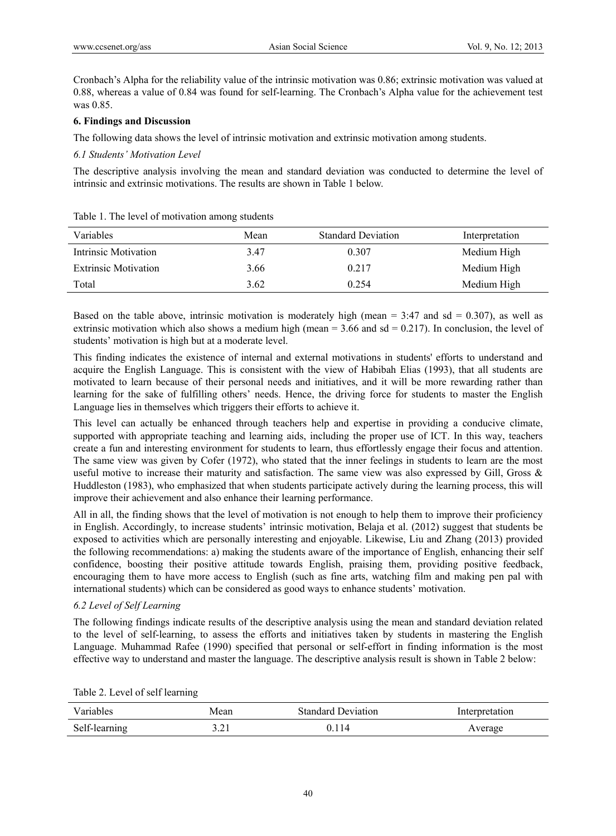Cronbach's Alpha for the reliability value of the intrinsic motivation was 0.86; extrinsic motivation was valued at 0.88, whereas a value of 0.84 was found for self-learning. The Cronbach's Alpha value for the achievement test was 0.85.

## **6. Findings and Discussion**

The following data shows the level of intrinsic motivation and extrinsic motivation among students.

## *6.1 Students' Motivation Level*

The descriptive analysis involving the mean and standard deviation was conducted to determine the level of intrinsic and extrinsic motivations. The results are shown in Table 1 below.

| <b>Variables</b>            | Mean | <b>Standard Deviation</b> | Interpretation |
|-----------------------------|------|---------------------------|----------------|
| Intrinsic Motivation        | 3.47 | 0.307                     | Medium High    |
| <b>Extrinsic Motivation</b> | 3.66 | 0.217                     | Medium High    |
| Total                       | 3.62 | 0 2 5 4                   | Medium High    |

Table 1. The level of motivation among students

Based on the table above, intrinsic motivation is moderately high (mean  $= 3:47$  and sd  $= 0.307$ ), as well as extrinsic motivation which also shows a medium high (mean  $= 3.66$  and sd  $= 0.217$ ). In conclusion, the level of students' motivation is high but at a moderate level.

This finding indicates the existence of internal and external motivations in students' efforts to understand and acquire the English Language. This is consistent with the view of Habibah Elias (1993), that all students are motivated to learn because of their personal needs and initiatives, and it will be more rewarding rather than learning for the sake of fulfilling others' needs. Hence, the driving force for students to master the English Language lies in themselves which triggers their efforts to achieve it.

This level can actually be enhanced through teachers help and expertise in providing a conducive climate, supported with appropriate teaching and learning aids, including the proper use of ICT. In this way, teachers create a fun and interesting environment for students to learn, thus effortlessly engage their focus and attention. The same view was given by Cofer (1972), who stated that the inner feelings in students to learn are the most useful motive to increase their maturity and satisfaction. The same view was also expressed by Gill, Gross & Huddleston (1983), who emphasized that when students participate actively during the learning process, this will improve their achievement and also enhance their learning performance.

All in all, the finding shows that the level of motivation is not enough to help them to improve their proficiency in English. Accordingly, to increase students' intrinsic motivation, Belaja et al. (2012) suggest that students be exposed to activities which are personally interesting and enjoyable. Likewise, Liu and Zhang (2013) provided the following recommendations: a) making the students aware of the importance of English, enhancing their self confidence, boosting their positive attitude towards English, praising them, providing positive feedback, encouraging them to have more access to English (such as fine arts, watching film and making pen pal with international students) which can be considered as good ways to enhance students' motivation.

# *6.2 Level of Self Learning*

The following findings indicate results of the descriptive analysis using the mean and standard deviation related to the level of self-learning, to assess the efforts and initiatives taken by students in mastering the English Language. Muhammad Rafee (1990) specified that personal or self-effort in finding information is the most effective way to understand and master the language. The descriptive analysis result is shown in Table 2 below:

| Variables     | Mean          | <b>Standard Deviation</b> | Interpretation |
|---------------|---------------|---------------------------|----------------|
| Self-learning | یم .<br>⊥ ∠…د | .14                       | Average        |

Table 2. Level of self learning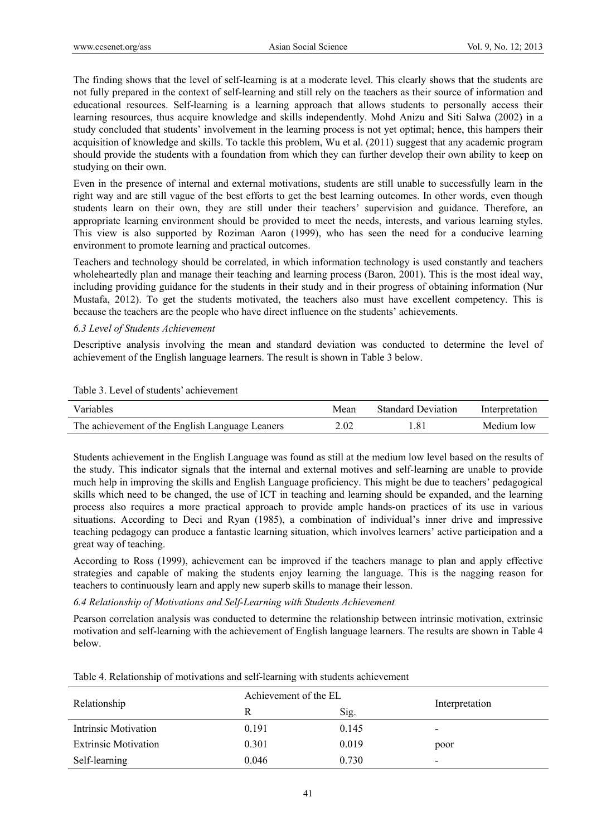The finding shows that the level of self-learning is at a moderate level. This clearly shows that the students are not fully prepared in the context of self-learning and still rely on the teachers as their source of information and educational resources. Self-learning is a learning approach that allows students to personally access their learning resources, thus acquire knowledge and skills independently. Mohd Anizu and Siti Salwa (2002) in a study concluded that students' involvement in the learning process is not yet optimal; hence, this hampers their acquisition of knowledge and skills. To tackle this problem, Wu et al. (2011) suggest that any academic program should provide the students with a foundation from which they can further develop their own ability to keep on studying on their own.

Even in the presence of internal and external motivations, students are still unable to successfully learn in the right way and are still vague of the best efforts to get the best learning outcomes. In other words, even though students learn on their own, they are still under their teachers' supervision and guidance. Therefore, an appropriate learning environment should be provided to meet the needs, interests, and various learning styles. This view is also supported by Roziman Aaron (1999), who has seen the need for a conducive learning environment to promote learning and practical outcomes.

Teachers and technology should be correlated, in which information technology is used constantly and teachers wholeheartedly plan and manage their teaching and learning process (Baron, 2001). This is the most ideal way, including providing guidance for the students in their study and in their progress of obtaining information (Nur Mustafa, 2012). To get the students motivated, the teachers also must have excellent competency. This is because the teachers are the people who have direct influence on the students' achievements.

## *6.3 Level of Students Achievement*

Descriptive analysis involving the mean and standard deviation was conducted to determine the level of achievement of the English language learners. The result is shown in Table 3 below.

| Table 3. Level of students' achievement |  |  |
|-----------------------------------------|--|--|
|-----------------------------------------|--|--|

| Variables                                       | Mean | <b>Standard Deviation</b> | Interpretation |
|-------------------------------------------------|------|---------------------------|----------------|
| The achievement of the English Language Leaners | 2.02 | $.8^{\circ}$              | Medium low     |

Students achievement in the English Language was found as still at the medium low level based on the results of the study. This indicator signals that the internal and external motives and self-learning are unable to provide much help in improving the skills and English Language proficiency. This might be due to teachers' pedagogical skills which need to be changed, the use of ICT in teaching and learning should be expanded, and the learning process also requires a more practical approach to provide ample hands-on practices of its use in various situations. According to Deci and Ryan (1985), a combination of individual's inner drive and impressive teaching pedagogy can produce a fantastic learning situation, which involves learners' active participation and a great way of teaching.

According to Ross (1999), achievement can be improved if the teachers manage to plan and apply effective strategies and capable of making the students enjoy learning the language. This is the nagging reason for teachers to continuously learn and apply new superb skills to manage their lesson.

## *6.4 Relationship of Motivations and Self-Learning with Students Achievement*

Pearson correlation analysis was conducted to determine the relationship between intrinsic motivation, extrinsic motivation and self-learning with the achievement of English language learners. The results are shown in Table 4 below.

|                             | Achievement of the EL |       |                          |  |
|-----------------------------|-----------------------|-------|--------------------------|--|
| Relationship                | R                     | Sig.  | Interpretation           |  |
| Intrinsic Motivation        | 0.191                 | 0.145 | $\,$                     |  |
| <b>Extrinsic Motivation</b> | 0.301                 | 0.019 | poor                     |  |
| Self-learning               | 0.046                 | 0.730 | $\overline{\phantom{a}}$ |  |

Table 4. Relationship of motivations and self-learning with students achievement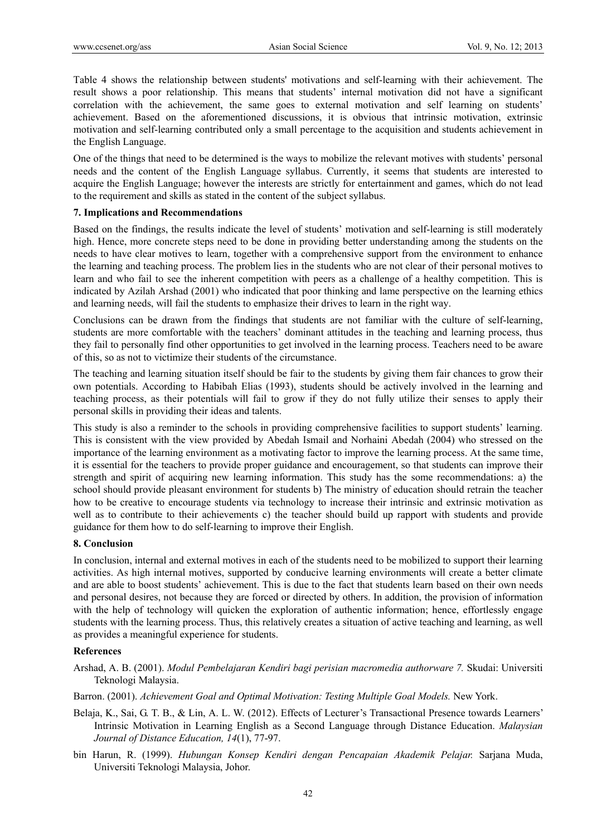Table 4 shows the relationship between students' motivations and self-learning with their achievement. The result shows a poor relationship. This means that students' internal motivation did not have a significant correlation with the achievement, the same goes to external motivation and self learning on students' achievement. Based on the aforementioned discussions, it is obvious that intrinsic motivation, extrinsic motivation and self-learning contributed only a small percentage to the acquisition and students achievement in the English Language.

One of the things that need to be determined is the ways to mobilize the relevant motives with students' personal needs and the content of the English Language syllabus. Currently, it seems that students are interested to acquire the English Language; however the interests are strictly for entertainment and games, which do not lead to the requirement and skills as stated in the content of the subject syllabus.

#### **7. Implications and Recommendations**

Based on the findings, the results indicate the level of students' motivation and self-learning is still moderately high. Hence, more concrete steps need to be done in providing better understanding among the students on the needs to have clear motives to learn, together with a comprehensive support from the environment to enhance the learning and teaching process. The problem lies in the students who are not clear of their personal motives to learn and who fail to see the inherent competition with peers as a challenge of a healthy competition. This is indicated by Azilah Arshad (2001) who indicated that poor thinking and lame perspective on the learning ethics and learning needs, will fail the students to emphasize their drives to learn in the right way.

Conclusions can be drawn from the findings that students are not familiar with the culture of self-learning, students are more comfortable with the teachers' dominant attitudes in the teaching and learning process, thus they fail to personally find other opportunities to get involved in the learning process. Teachers need to be aware of this, so as not to victimize their students of the circumstance.

The teaching and learning situation itself should be fair to the students by giving them fair chances to grow their own potentials. According to Habibah Elias (1993), students should be actively involved in the learning and teaching process, as their potentials will fail to grow if they do not fully utilize their senses to apply their personal skills in providing their ideas and talents.

This study is also a reminder to the schools in providing comprehensive facilities to support students' learning. This is consistent with the view provided by Abedah Ismail and Norhaini Abedah (2004) who stressed on the importance of the learning environment as a motivating factor to improve the learning process. At the same time, it is essential for the teachers to provide proper guidance and encouragement, so that students can improve their strength and spirit of acquiring new learning information. This study has the some recommendations: a) the school should provide pleasant environment for students b) The ministry of education should retrain the teacher how to be creative to encourage students via technology to increase their intrinsic and extrinsic motivation as well as to contribute to their achievements c) the teacher should build up rapport with students and provide guidance for them how to do self-learning to improve their English.

#### **8. Conclusion**

In conclusion, internal and external motives in each of the students need to be mobilized to support their learning activities. As high internal motives, supported by conducive learning environments will create a better climate and are able to boost students' achievement. This is due to the fact that students learn based on their own needs and personal desires, not because they are forced or directed by others. In addition, the provision of information with the help of technology will quicken the exploration of authentic information; hence, effortlessly engage students with the learning process. Thus, this relatively creates a situation of active teaching and learning, as well as provides a meaningful experience for students.

## **References**

Arshad, A. B. (2001). *Modul Pembelajaran Kendiri bagi perisian macromedia authorware 7.* Skudai: Universiti Teknologi Malaysia.

Barron. (2001). *Achievement Goal and Optimal Motivation: Testing Multiple Goal Models.* New York.

- Belaja, K., Sai, G. T. B., & Lin, A. L. W. (2012). Effects of Lecturer's Transactional Presence towards Learners' Intrinsic Motivation in Learning English as a Second Language through Distance Education. *Malaysian Journal of Distance Education, 14*(1), 77-97.
- bin Harun, R. (1999). *Hubungan Konsep Kendiri dengan Pencapaian Akademik Pelajar.* Sarjana Muda, Universiti Teknologi Malaysia, Johor.